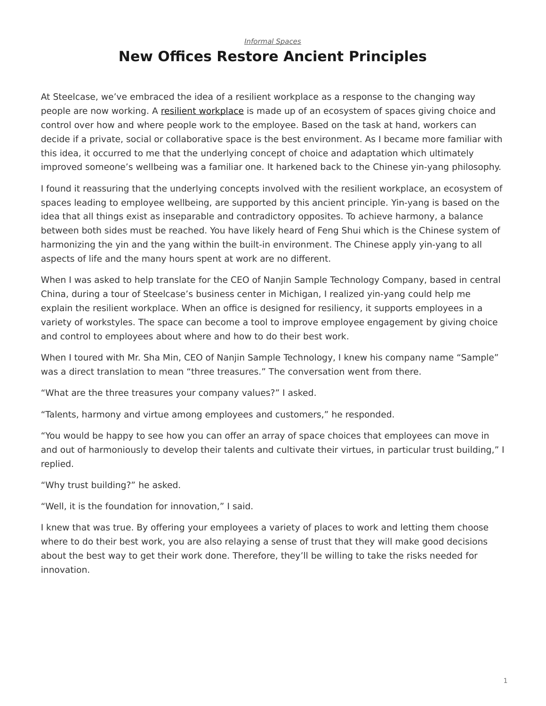## <span id="page-0-0"></span>*[Informal Spaces](https://www.steelcase.com/research/topics/informal-spaces/)* **New Offices Restore Ancient Principles**

At Steelcase, we've embraced the idea of a resilient workplace as a response to the changing way people are now working. A [resilient workplace](https://www.steelcase.com/spaces-inspiration/resilient-workplace/) is made up of an ecosystem of spaces giving choice and control over how and where people work to the employee. Based on the task at hand, workers can decide if a private, social or collaborative space is the best environment. As I became more familiar with this idea, it occurred to me that the underlying concept of choice and adaptation which ultimately improved someone's wellbeing was a familiar one. It harkened back to the Chinese yin-yang philosophy.

I found it reassuring that the underlying concepts involved with the resilient workplace, an ecosystem of spaces leading to employee wellbeing, are supported by this ancient principle. Yin-yang is based on the idea that all things exist as inseparable and contradictory opposites. To achieve harmony, a balance between both sides must be reached. You have likely heard of Feng Shui which is the Chinese system of harmonizing the yin and the yang within the built-in environment. The Chinese apply yin-yang to all aspects of life and the many hours spent at work are no different.

When I was asked to help translate for the CEO of Nanjin Sample Technology Company, based in central China, during a tour of Steelcase's business center in Michigan, I realized yin-yang could help me explain the resilient workplace. When an office is designed for resiliency, it supports employees in a variety of workstyles. The space can become a tool to improve employee engagement by giving choice and control to employees about where and how to do their best work.

When I toured with Mr. Sha Min, CEO of Nanjin Sample Technology, I knew his company name "Sample" was a direct translation to mean "three treasures." The conversation went from there.

"What are the three treasures your company values?" I asked.

"Talents, harmony and virtue among employees and customers," he responded.

"You would be happy to see how you can offer an array of space choices that employees can move in and out of harmoniously to develop their talents and cultivate their virtues, in particular trust building," I replied.

"Why trust building?" he asked.

"Well, it is the foundation for innovation," I said.

I knew that was true. By offering your employees a variety of places to work and letting them choose where to do their best work, you are also relaying a sense of trust that they will make good decisions about the best way to get their work done. Therefore, they'll be willing to take the risks needed for innovation.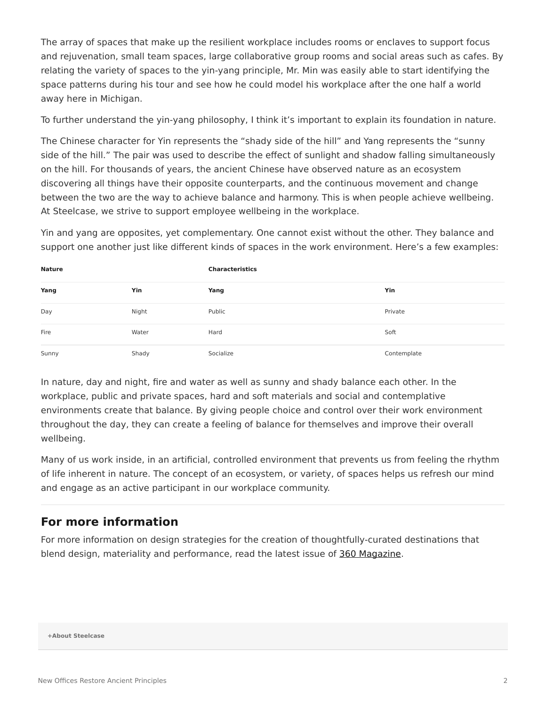The array of spaces that make up the resilient workplace includes rooms or enclaves to support focus and rejuvenation, small team spaces, large collaborative group rooms and social areas such as cafes. By relating the variety of spaces to the yin-yang principle, Mr. Min was easily able to start identifying the space patterns during his tour and see how he could model his workplace after the one half a world away here in Michigan.

To further understand the yin-yang philosophy, I think it's important to explain its foundation in nature.

The Chinese character for Yin represents the "shady side of the hill" and Yang represents the "sunny side of the hill." The pair was used to describe the effect of sunlight and shadow falling simultaneously on the hill. For thousands of years, the ancient Chinese have observed nature as an ecosystem discovering all things have their opposite counterparts, and the continuous movement and change between the two are the way to achieve balance and harmony. This is when people achieve wellbeing. At Steelcase, we strive to support employee wellbeing in the workplace.

Yin and yang are opposites, yet complementary. One cannot exist without the other. They balance and support one another just like different kinds of spaces in the work environment. Here's a few examples:

| <b>Nature</b> |       | <b>Characteristics</b> |             |
|---------------|-------|------------------------|-------------|
| Yang          | Yin   | Yang                   | Yin         |
| Day           | Night | Public                 | Private     |
| Fire          | Water | Hard                   | Soft        |
| Sunny         | Shady | Socialize              | Contemplate |

In nature, day and night, fire and water as well as sunny and shady balance each other. In the workplace, public and private spaces, hard and soft materials and social and contemplative environments create that balance. By giving people choice and control over their work environment throughout the day, they can create a feeling of balance for themselves and improve their overall wellbeing.

Many of us work inside, in an artificial, controlled environment that prevents us from feeling the rhythm of life inherent in nature. The concept of an ecosystem, or variety, of spaces helps us refresh our mind and engage as an active participant in our workplace community.

## **For more information**

For more information on design strategies for the creation of thoughtfully-curated destinations that blend design, materiality and performance, read the latest issue of [360 Magazine.](https://www.steelcase.com/insights/360-magazine/office-renaissance/)

**[+About Steelcase](https://www.steelcase.com/discover/steelcase/our-company/)**